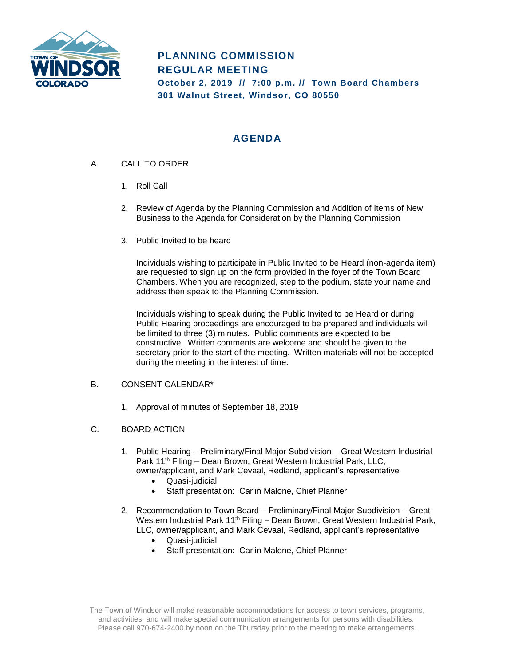

# **PLANNING COMMISSION REGULAR MEETING October 2, 2019 // 7:00 p.m. // Town Board Chambers 301 Walnut Street, Windsor, CO 80550**

## **AGENDA**

- A. CALL TO ORDER
	- 1. Roll Call
	- 2. Review of Agenda by the Planning Commission and Addition of Items of New Business to the Agenda for Consideration by the Planning Commission
	- 3. Public Invited to be heard

Individuals wishing to participate in Public Invited to be Heard (non-agenda item) are requested to sign up on the form provided in the foyer of the Town Board Chambers. When you are recognized, step to the podium, state your name and address then speak to the Planning Commission.

Individuals wishing to speak during the Public Invited to be Heard or during Public Hearing proceedings are encouraged to be prepared and individuals will be limited to three (3) minutes. Public comments are expected to be constructive. Written comments are welcome and should be given to the secretary prior to the start of the meeting. Written materials will not be accepted during the meeting in the interest of time.

#### B. CONSENT CALENDAR\*

1. Approval of minutes of September 18, 2019

#### C. BOARD ACTION

- 1. Public Hearing Preliminary/Final Major Subdivision Great Western Industrial Park 11<sup>th</sup> Filing – Dean Brown, Great Western Industrial Park, LLC, owner/applicant, and Mark Cevaal, Redland, applicant's representative
	- Quasi-judicial
	- Staff presentation: Carlin Malone, Chief Planner
- 2. Recommendation to Town Board Preliminary/Final Major Subdivision Great Western Industrial Park 11<sup>th</sup> Filing - Dean Brown, Great Western Industrial Park, LLC, owner/applicant, and Mark Cevaal, Redland, applicant's representative
	- Quasi-judicial
	- Staff presentation: Carlin Malone, Chief Planner

The Town of Windsor will make reasonable accommodations for access to town services, programs, and activities, and will make special communication arrangements for persons with disabilities. Please call 970-674-2400 by noon on the Thursday prior to the meeting to make arrangements.